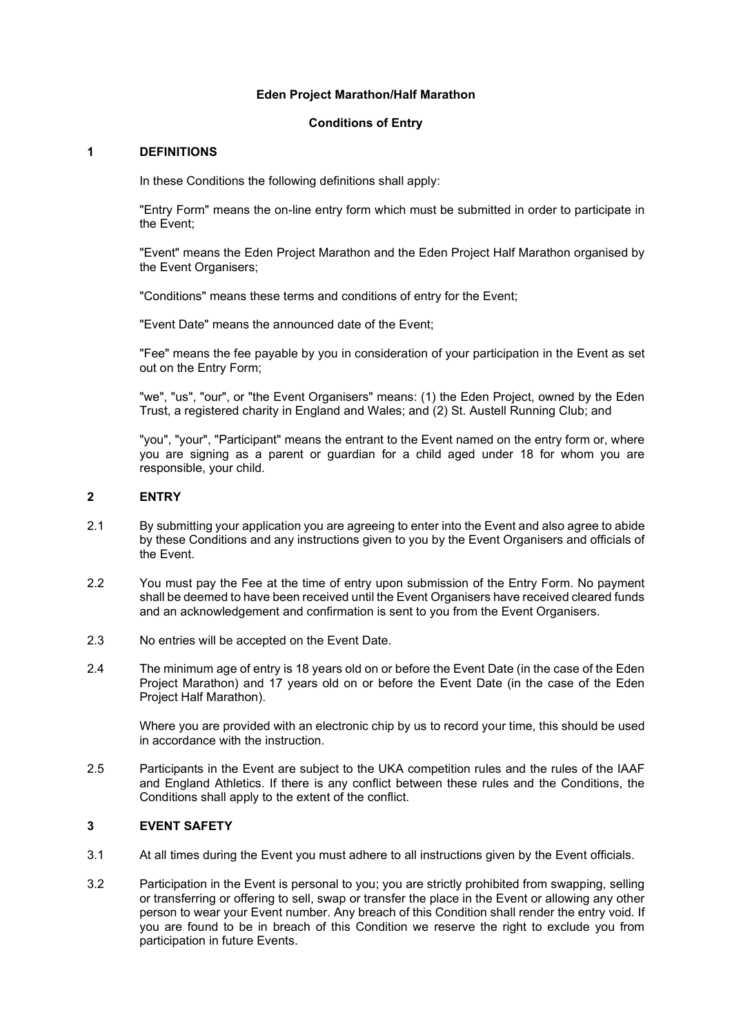#### Eden Project Marathon/Half Marathon

### Conditions of Entry

#### 1 DEFINITIONS

In these Conditions the following definitions shall apply:

"Entry Form" means the on-line entry form which must be submitted in order to participate in the Event;

"Event" means the Eden Project Marathon and the Eden Project Half Marathon organised by the Event Organisers;

"Conditions" means these terms and conditions of entry for the Event;

"Event Date" means the announced date of the Event;

"Fee" means the fee payable by you in consideration of your participation in the Event as set out on the Entry Form;

"we", "us", "our", or "the Event Organisers" means: (1) the Eden Project, owned by the Eden Trust, a registered charity in England and Wales; and (2) St. Austell Running Club; and

"you", "your", "Participant" means the entrant to the Event named on the entry form or, where you are signing as a parent or guardian for a child aged under 18 for whom you are responsible, your child.

### 2 ENTRY

- 2.1 By submitting your application you are agreeing to enter into the Event and also agree to abide by these Conditions and any instructions given to you by the Event Organisers and officials of the Event.
- 2.2 You must pay the Fee at the time of entry upon submission of the Entry Form. No payment shall be deemed to have been received until the Event Organisers have received cleared funds and an acknowledgement and confirmation is sent to you from the Event Organisers.
- 2.3 No entries will be accepted on the Event Date.
- 2.4 The minimum age of entry is 18 years old on or before the Event Date (in the case of the Eden Project Marathon) and 17 years old on or before the Event Date (in the case of the Eden Project Half Marathon).

Where you are provided with an electronic chip by us to record your time, this should be used in accordance with the instruction.

2.5 Participants in the Event are subject to the UKA competition rules and the rules of the IAAF and England Athletics. If there is any conflict between these rules and the Conditions, the Conditions shall apply to the extent of the conflict.

## 3 EVENT SAFETY

- 3.1 At all times during the Event you must adhere to all instructions given by the Event officials.
- 3.2 Participation in the Event is personal to you; you are strictly prohibited from swapping, selling or transferring or offering to sell, swap or transfer the place in the Event or allowing any other person to wear your Event number. Any breach of this Condition shall render the entry void. If you are found to be in breach of this Condition we reserve the right to exclude you from participation in future Events.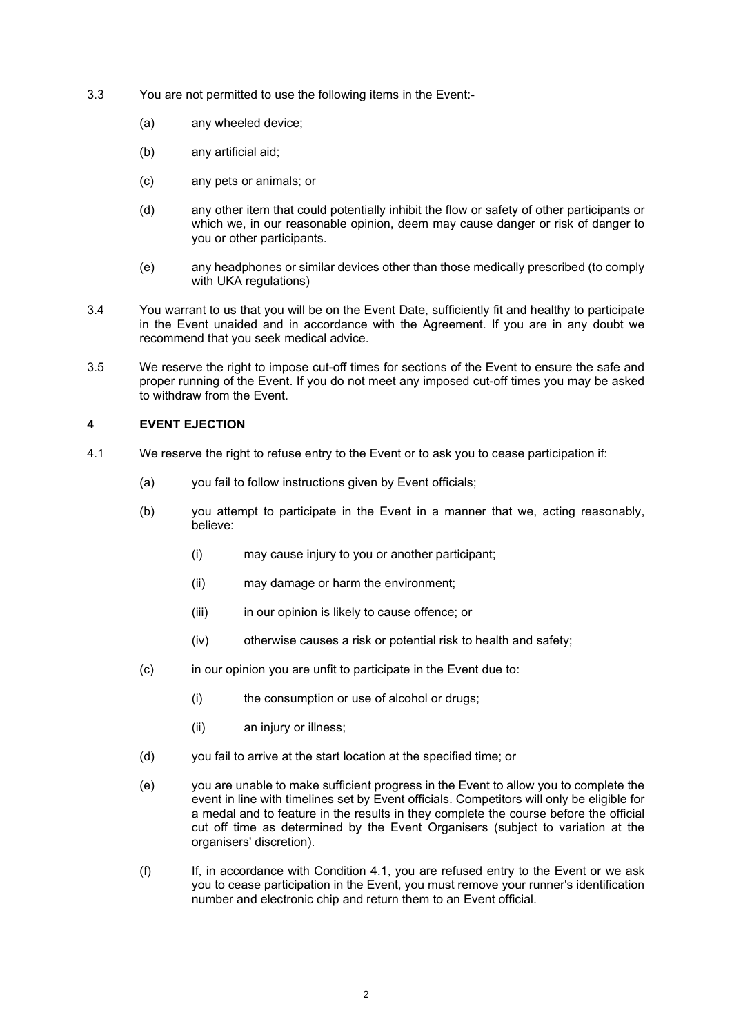- 3.3 You are not permitted to use the following items in the Event:-
	- (a) any wheeled device;
	- (b) any artificial aid;
	- (c) any pets or animals; or
	- (d) any other item that could potentially inhibit the flow or safety of other participants or which we, in our reasonable opinion, deem may cause danger or risk of danger to you or other participants.
	- (e) any headphones or similar devices other than those medically prescribed (to comply with UKA regulations)
- 3.4 You warrant to us that you will be on the Event Date, sufficiently fit and healthy to participate in the Event unaided and in accordance with the Agreement. If you are in any doubt we recommend that you seek medical advice.
- 3.5 We reserve the right to impose cut-off times for sections of the Event to ensure the safe and proper running of the Event. If you do not meet any imposed cut-off times you may be asked to withdraw from the Event.

# 4 EVENT EJECTION

- 4.1 We reserve the right to refuse entry to the Event or to ask you to cease participation if:
	- (a) you fail to follow instructions given by Event officials;
	- (b) you attempt to participate in the Event in a manner that we, acting reasonably, believe:
		- (i) may cause injury to you or another participant;
		- (ii) may damage or harm the environment;
		- (iii) in our opinion is likely to cause offence; or
		- (iv) otherwise causes a risk or potential risk to health and safety;
	- (c) in our opinion you are unfit to participate in the Event due to:
		- (i) the consumption or use of alcohol or drugs;
		- (ii) an injury or illness;
	- (d) you fail to arrive at the start location at the specified time; or
	- (e) you are unable to make sufficient progress in the Event to allow you to complete the event in line with timelines set by Event officials. Competitors will only be eligible for a medal and to feature in the results in they complete the course before the official cut off time as determined by the Event Organisers (subject to variation at the organisers' discretion).
	- (f) If, in accordance with Condition 4.1, you are refused entry to the Event or we ask you to cease participation in the Event, you must remove your runner's identification number and electronic chip and return them to an Event official.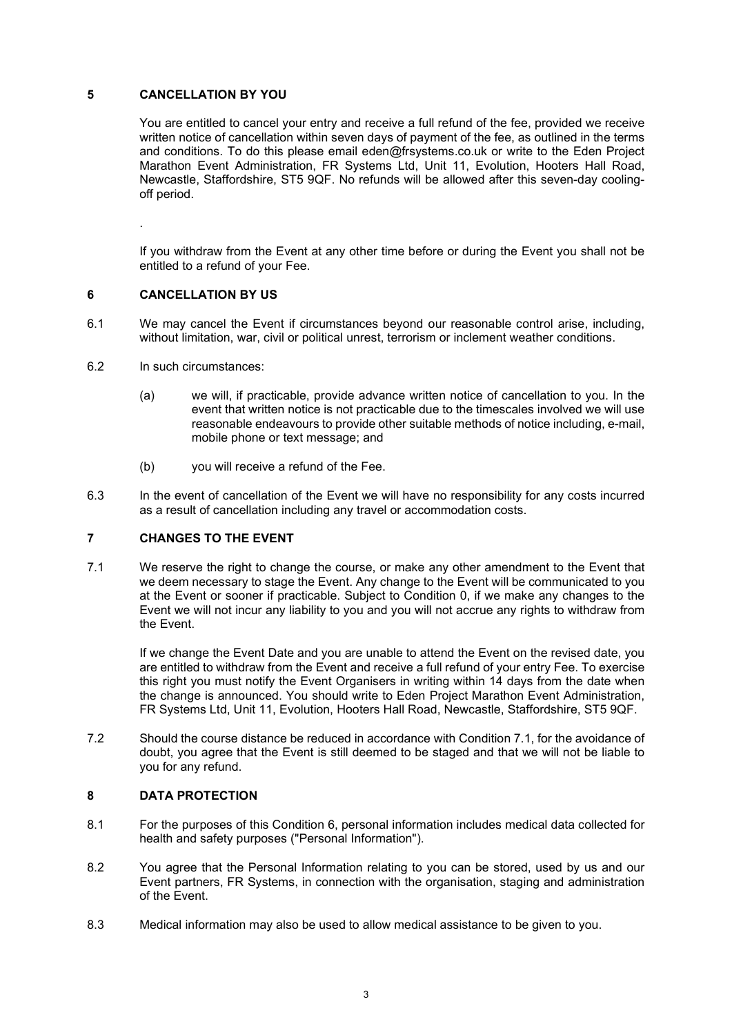## 5 CANCELLATION BY YOU

You are entitled to cancel your entry and receive a full refund of the fee, provided we receive written notice of cancellation within seven days of payment of the fee, as outlined in the terms and conditions. To do this please email eden@frsystems.co.uk or write to the Eden Project Marathon Event Administration, FR Systems Ltd, Unit 11, Evolution, Hooters Hall Road, Newcastle, Staffordshire, ST5 9QF. No refunds will be allowed after this seven-day coolingoff period.

If you withdraw from the Event at any other time before or during the Event you shall not be entitled to a refund of your Fee.

### 6 CANCELLATION BY US

.

- 6.1 We may cancel the Event if circumstances beyond our reasonable control arise, including, without limitation, war, civil or political unrest, terrorism or inclement weather conditions.
- 6.2 In such circumstances:
	- (a) we will, if practicable, provide advance written notice of cancellation to you. In the event that written notice is not practicable due to the timescales involved we will use reasonable endeavours to provide other suitable methods of notice including, e-mail, mobile phone or text message; and
	- (b) you will receive a refund of the Fee.
- 6.3 In the event of cancellation of the Event we will have no responsibility for any costs incurred as a result of cancellation including any travel or accommodation costs.

## 7 CHANGES TO THE EVENT

7.1 We reserve the right to change the course, or make any other amendment to the Event that we deem necessary to stage the Event. Any change to the Event will be communicated to you at the Event or sooner if practicable. Subject to Condition 0, if we make any changes to the Event we will not incur any liability to you and you will not accrue any rights to withdraw from the Event.

If we change the Event Date and you are unable to attend the Event on the revised date, you are entitled to withdraw from the Event and receive a full refund of your entry Fee. To exercise this right you must notify the Event Organisers in writing within 14 days from the date when the change is announced. You should write to Eden Project Marathon Event Administration, FR Systems Ltd, Unit 11, Evolution, Hooters Hall Road, Newcastle, Staffordshire, ST5 9QF.

7.2 Should the course distance be reduced in accordance with Condition 7.1, for the avoidance of doubt, you agree that the Event is still deemed to be staged and that we will not be liable to you for any refund.

### 8 DATA PROTECTION

- 8.1 For the purposes of this Condition 6, personal information includes medical data collected for health and safety purposes ("Personal Information").
- 8.2 You agree that the Personal Information relating to you can be stored, used by us and our Event partners, FR Systems, in connection with the organisation, staging and administration of the Event.
- 8.3 Medical information may also be used to allow medical assistance to be given to you.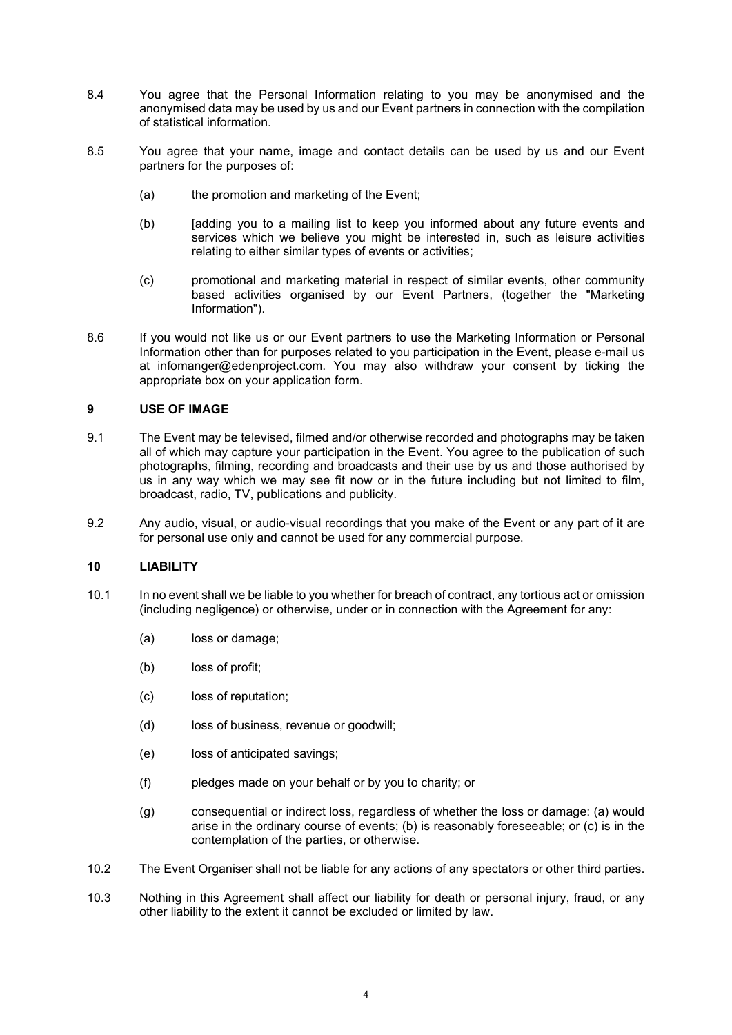- 8.4 You agree that the Personal Information relating to you may be anonymised and the anonymised data may be used by us and our Event partners in connection with the compilation of statistical information.
- 8.5 You agree that your name, image and contact details can be used by us and our Event partners for the purposes of:
	- (a) the promotion and marketing of the Event;
	- (b) [adding you to a mailing list to keep you informed about any future events and services which we believe you might be interested in, such as leisure activities relating to either similar types of events or activities;
	- (c) promotional and marketing material in respect of similar events, other community based activities organised by our Event Partners, (together the "Marketing Information").
- 8.6 If you would not like us or our Event partners to use the Marketing Information or Personal Information other than for purposes related to you participation in the Event, please e-mail us at infomanger@edenproject.com. You may also withdraw your consent by ticking the appropriate box on your application form.

### 9 USE OF IMAGE

- 9.1 The Event may be televised, filmed and/or otherwise recorded and photographs may be taken all of which may capture your participation in the Event. You agree to the publication of such photographs, filming, recording and broadcasts and their use by us and those authorised by us in any way which we may see fit now or in the future including but not limited to film, broadcast, radio, TV, publications and publicity.
- 9.2 Any audio, visual, or audio-visual recordings that you make of the Event or any part of it are for personal use only and cannot be used for any commercial purpose.

#### 10 LIABILITY

- 10.1 In no event shall we be liable to you whether for breach of contract, any tortious act or omission (including negligence) or otherwise, under or in connection with the Agreement for any:
	- (a) loss or damage;
	- (b) loss of profit;
	- (c) loss of reputation;
	- (d) loss of business, revenue or goodwill:
	- (e) loss of anticipated savings;
	- (f) pledges made on your behalf or by you to charity; or
	- (g) consequential or indirect loss, regardless of whether the loss or damage: (a) would arise in the ordinary course of events; (b) is reasonably foreseeable; or (c) is in the contemplation of the parties, or otherwise.
- 10.2 The Event Organiser shall not be liable for any actions of any spectators or other third parties.
- 10.3 Nothing in this Agreement shall affect our liability for death or personal injury, fraud, or any other liability to the extent it cannot be excluded or limited by law.